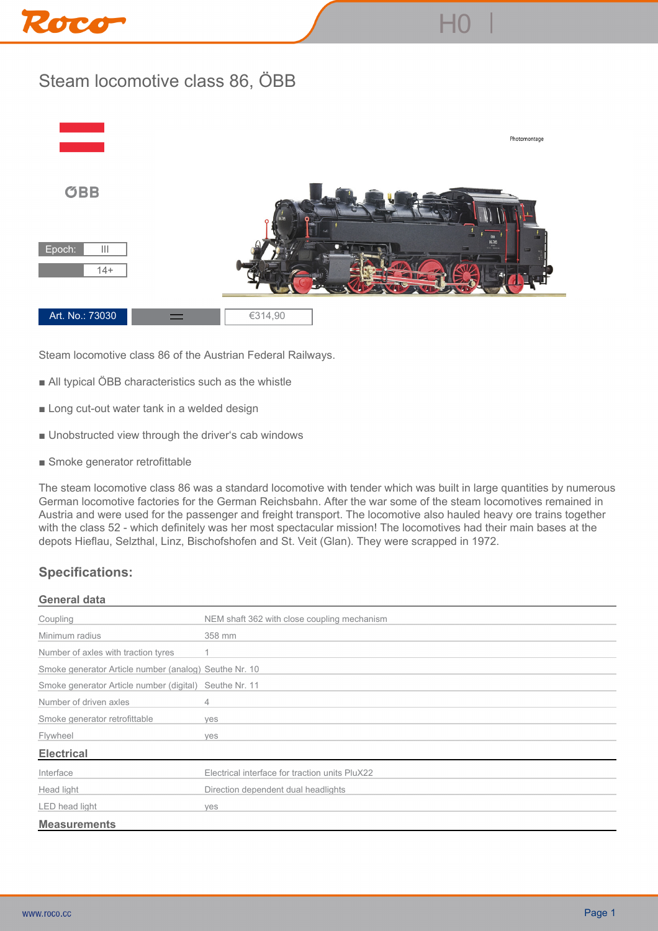# Roce

# **Steam locomotive class 86, ÖBB**



**Steam locomotive class 86 of the Austrian Federal Railways.**

- All typical ÖBB characteristics such as the whistle
- **Long cut-out water tank in a welded design**
- **Unobstructed view through the driver's cab windows**
- **Smoke generator retrofittable**

**The steam locomotive class 86 was a standard locomotive with tender which was built in large quantities by numerous German locomotive factories for the German Reichsbahn. After the war some of the steam locomotives remained in Austria and were used for the passenger and freight transport. The locomotive also hauled heavy ore trains together with the class 52 - which definitely was her most spectacular mission! The locomotives had their main bases at the depots Hieflau, Selzthal, Linz, Bischofshofen and St. Veit (Glan). They were scrapped in 1972.**

## **Specifications:**

#### **General data**

| Coupling                                               | NEM shaft 362 with close coupling mechanism    |
|--------------------------------------------------------|------------------------------------------------|
| Minimum radius                                         | 358 mm                                         |
| Number of axles with traction tyres                    |                                                |
| Smoke generator Article number (analog) Seuthe Nr. 10  |                                                |
| Smoke generator Article number (digital) Seuthe Nr. 11 |                                                |
| Number of driven axles                                 | 4                                              |
| Smoke generator retrofittable                          | ves                                            |
| Flywheel                                               | ves                                            |
| <b>Electrical</b>                                      |                                                |
| Interface                                              | Electrical interface for traction units PluX22 |
| Head light                                             | Direction dependent dual headlights            |
| LED head light                                         | ves                                            |
| <b>Measurements</b>                                    |                                                |